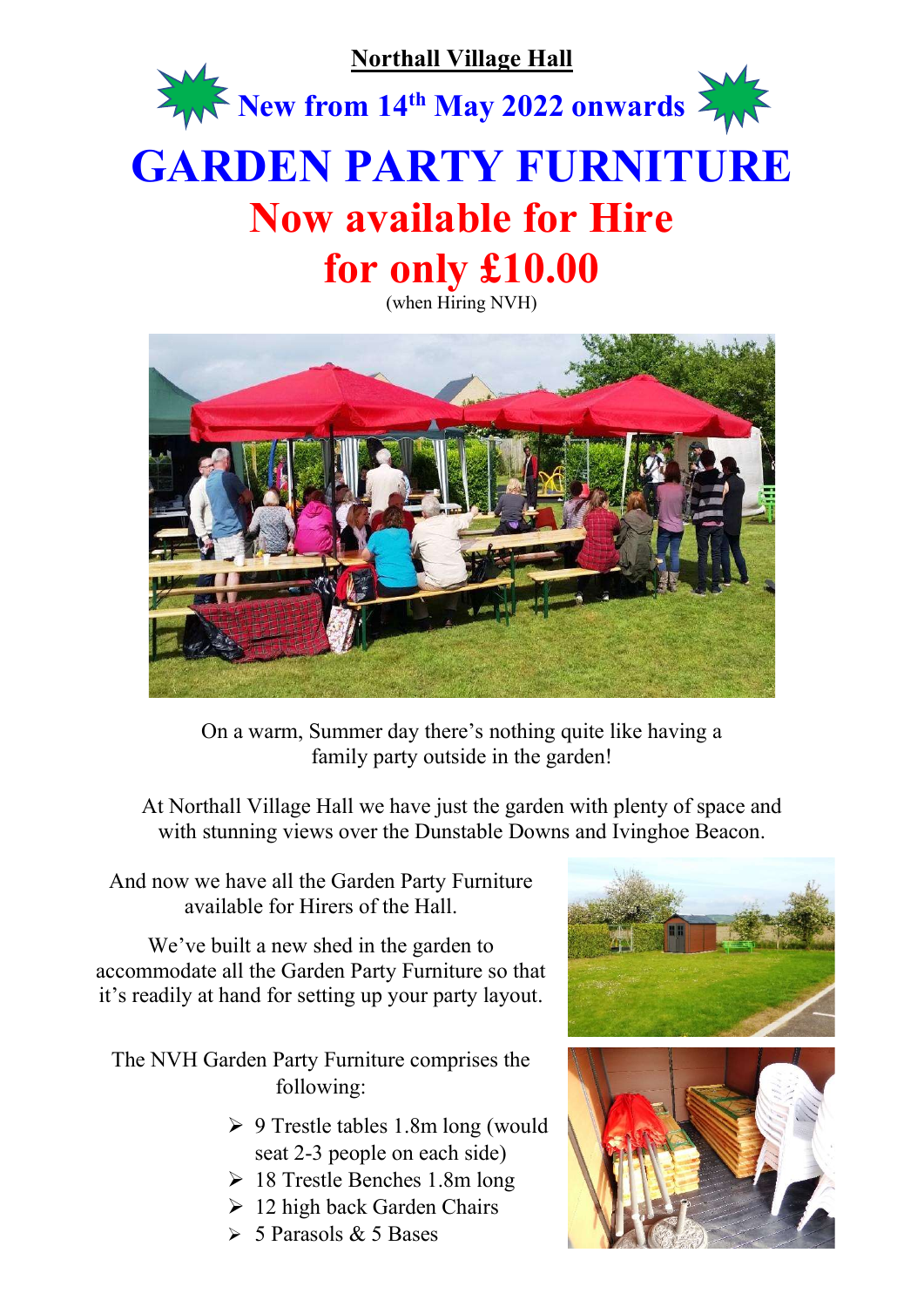

## GARDEN PARTY FURNITURE Now available for Hire for only £10.00

(when Hiring NVH)



On a warm, Summer day there's nothing quite like having a family party outside in the garden!

At Northall Village Hall we have just the garden with plenty of space and with stunning views over the Dunstable Downs and Ivinghoe Beacon.

And now we have all the Garden Party Furniture available for Hirers of the Hall.

We've built a new shed in the garden to accommodate all the Garden Party Furniture so that it's readily at hand for setting up your party layout.

The NVH Garden Party Furniture comprises the following:

- $\geq 9$  Trestle tables 1.8m long (would seat 2-3 people on each side)
- $\geq 18$  Trestle Benches 1.8m long
- $\geq 12$  high back Garden Chairs
- $\geq 5$  Parasols & 5 Bases